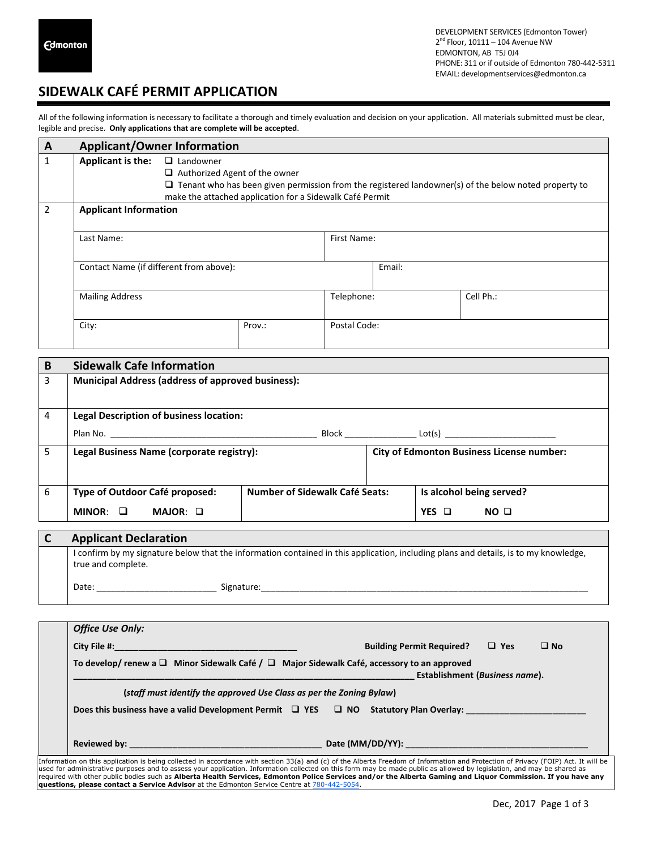## **SIDEWALK CAFÉ PERMIT APPLICATION**

All of the following information is necessary to facilitate a thorough and timely evaluation and decision on your application. All materials submitted must be clear, legible and precise. **Only applications that are complete will be accepted**.

| A | <b>Applicant/Owner Information</b>      |                                                                                                                                                                                                                                     |        |              |        |           |
|---|-----------------------------------------|-------------------------------------------------------------------------------------------------------------------------------------------------------------------------------------------------------------------------------------|--------|--------------|--------|-----------|
| 1 | <b>Applicant is the:</b>                | $\Box$ Landowner<br>$\Box$ Authorized Agent of the owner<br>$\Box$ Tenant who has been given permission from the registered landowner(s) of the below noted property to<br>make the attached application for a Sidewalk Café Permit |        |              |        |           |
| 2 | <b>Applicant Information</b>            |                                                                                                                                                                                                                                     |        |              |        |           |
|   | Last Name:                              |                                                                                                                                                                                                                                     |        | First Name:  |        |           |
|   | Contact Name (if different from above): |                                                                                                                                                                                                                                     |        |              | Email: |           |
|   | <b>Mailing Address</b>                  |                                                                                                                                                                                                                                     |        | Telephone:   |        | Cell Ph.: |
|   | City:                                   |                                                                                                                                                                                                                                     | Prov.: | Postal Code: |        |           |

| B | <b>Sidewalk Cafe Information</b>                         |                                       |                                                  |                          |
|---|----------------------------------------------------------|---------------------------------------|--------------------------------------------------|--------------------------|
| 3 | <b>Municipal Address (address of approved business):</b> |                                       |                                                  |                          |
| 4 | <b>Legal Description of business location:</b>           |                                       |                                                  |                          |
|   |                                                          |                                       |                                                  | Block Lot(s) Lot(s)      |
| 5 | Legal Business Name (corporate registry):                |                                       | <b>City of Edmonton Business License number:</b> |                          |
| 6 | Type of Outdoor Café proposed:                           | <b>Number of Sidewalk Café Seats:</b> |                                                  | Is alcohol being served? |
|   | $MINOR: \square$<br>MAJOR: O                             |                                       |                                                  | NO <sub>0</sub><br>YES O |

| <b>Applicant Declaration</b> |                                                                                                                                      |
|------------------------------|--------------------------------------------------------------------------------------------------------------------------------------|
| true and complete.           | I confirm by my signature below that the information contained in this application, including plans and details, is to my knowledge, |
| Date:                        | Signature:                                                                                                                           |

|                                                                                                                                        | <b>Office Use Only:</b>                                                                         |                                                                                                                                                                                                                                                                                                                                                                                                                                                                                                                              |  |  |  |
|----------------------------------------------------------------------------------------------------------------------------------------|-------------------------------------------------------------------------------------------------|------------------------------------------------------------------------------------------------------------------------------------------------------------------------------------------------------------------------------------------------------------------------------------------------------------------------------------------------------------------------------------------------------------------------------------------------------------------------------------------------------------------------------|--|--|--|
|                                                                                                                                        | <b>City File #:</b> And The Manual City File #:                                                 | $\Box$ Yes<br>$\Box$ No<br><b>Building Permit Required?</b>                                                                                                                                                                                                                                                                                                                                                                                                                                                                  |  |  |  |
| To develop/renew a $\Box$ Minor Sidewalk Café / $\Box$ Major Sidewalk Café, accessory to an approved<br>Establishment (Business name). |                                                                                                 |                                                                                                                                                                                                                                                                                                                                                                                                                                                                                                                              |  |  |  |
|                                                                                                                                        | (staff must identify the approved Use Class as per the Zoning Bylaw)                            |                                                                                                                                                                                                                                                                                                                                                                                                                                                                                                                              |  |  |  |
|                                                                                                                                        | Does this business have a valid Development Permit $\Box$ YES $\Box$ NO Statutory Plan Overlay: |                                                                                                                                                                                                                                                                                                                                                                                                                                                                                                                              |  |  |  |
|                                                                                                                                        |                                                                                                 |                                                                                                                                                                                                                                                                                                                                                                                                                                                                                                                              |  |  |  |
|                                                                                                                                        | questions, please contact a Service Advisor at the Edmonton Service Centre at 780-442-5054.     | Information on this application is being collected in accordance with section 33(a) and (c) of the Alberta Freedom of Information and Protection of Privacy (FOIP) Act. It will be<br>used for administrative purposes and to assess your application. Information collected on this form may be made public as allowed by legislation, and may be shared as<br>required with other public bodies such as Alberta Health Services, Edmonton Police Services and/or the Alberta Gaming and Liquor Commission. If you have any |  |  |  |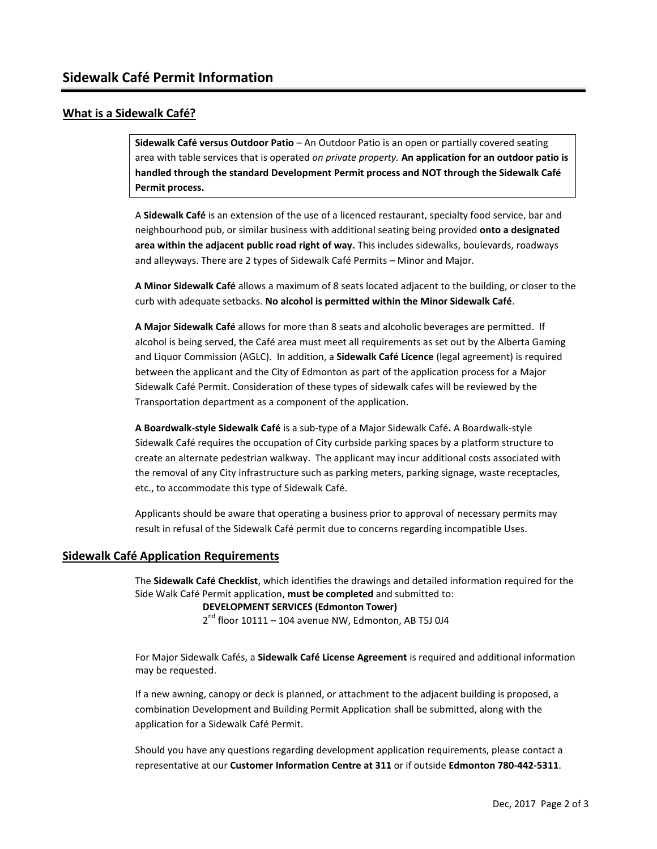#### **What is a Sidewalk Café?**

**Sidewalk Café versus Outdoor Patio** – An Outdoor Patio is an open or partially covered seating area with table services that is operated *on private property.* **An application for an outdoor patio is handled through the standard Development Permit process and NOT through the Sidewalk Café Permit process.**

A **Sidewalk Café** is an extension of the use of a licenced restaurant, specialty food service, bar and neighbourhood pub, or similar business with additional seating being provided **onto a designated area within the adjacent public road right of way.** This includes sidewalks, boulevards, roadways and alleyways. There are 2 types of Sidewalk Café Permits – Minor and Major.

**A Minor Sidewalk Café** allows a maximum of 8 seats located adjacent to the building, or closer to the curb with adequate setbacks. **No alcohol is permitted within the Minor Sidewalk Café**.

**A Major Sidewalk Café** allows for more than 8 seats and alcoholic beverages are permitted. If alcohol is being served, the Café area must meet all requirements as set out by the Alberta Gaming and Liquor Commission (AGLC). In addition, a **Sidewalk Café Licence** (legal agreement) is required between the applicant and the City of Edmonton as part of the application process for a Major Sidewalk Café Permit. Consideration of these types of sidewalk cafes will be reviewed by the Transportation department as a component of the application.

**A Boardwalk-style Sidewalk Café** is a sub-type of a Major Sidewalk Café**.** A Boardwalk-style Sidewalk Café requires the occupation of City curbside parking spaces by a platform structure to create an alternate pedestrian walkway. The applicant may incur additional costs associated with the removal of any City infrastructure such as parking meters, parking signage, waste receptacles, etc., to accommodate this type of Sidewalk Café.

Applicants should be aware that operating a business prior to approval of necessary permits may result in refusal of the Sidewalk Café permit due to concerns regarding incompatible Uses.

#### **Sidewalk Café Application Requirements**

The **Sidewalk Café Checklist**, which identifies the drawings and detailed information required for the Side Walk Café Permit application, **must be completed** and submitted to:

#### **DEVELOPMENT SERVICES (Edmonton Tower)**

2<sup>nd</sup> floor 10111 – 104 avenue NW, Edmonton, AB T5J 0J4

For Major Sidewalk Cafés, a **Sidewalk Café License Agreement** is required and additional information may be requested.

If a new awning, canopy or deck is planned, or attachment to the adjacent building is proposed, a combination Development and Building Permit Application shall be submitted, along with the application for a Sidewalk Café Permit.

Should you have any questions regarding development application requirements, please contact a representative at our **Customer Information Centre at 311** or if outside **Edmonton 780-442-5311**.